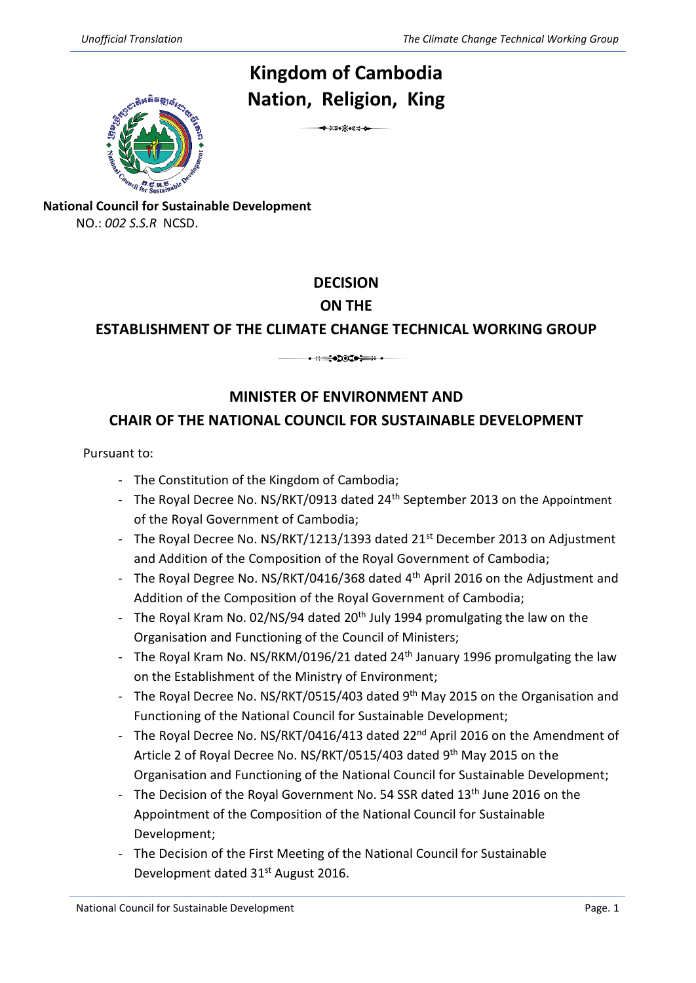### **Kingdom of Cambodia Nation , Religion, King**



6

**National Council for Sustainable Development**

NO.: *002 S.S.R* NCSD.

# **DECISION**

# **ON THE**

# **ESTABLISHMENT OF THE CLIMATE CHANGE TECHN ICAL WORKING GROUP** 3

# **MINISTER OF ENVIRONMENT AND CHAIR OF THE NATIONAL COUNCIL FOR SUSTAINABLE DEVELOPMENT**

Pursuant to:

- The Constitution of the Kingdom of Cambodia;
- The Royal Decree No. NS/RKT/0913 dated 24<sup>th</sup> September 2013 on the Appointment of the Royal Government of Cambodia;
- The Royal Decree No. NS/RKT/1213/1393 dated 21<sup>st</sup> December 2013 on Adjustment and Addition of the Composition of the Royal Government of Cambodia;
- The Royal Degree No. NS/RKT/0416/368 dated 4<sup>th</sup> April 2016 on the Adjustment and Addition of the Composition of the Royal Government of Cambodia;
- The Royal Kram No. 02/NS/94 dated 20<sup>th</sup> July 1994 promulgating the law on the Organisation and Functioning of the Council of Ministers;
- The Royal Kram No. NS/RKM/0196/21 dated 24<sup>th</sup> January 1996 promulgating the law on the Establishment of the Ministry of Environment;
- The Royal Decree No. NS/RKT/0515/403 dated 9<sup>th</sup> May 2015 on the Organisation and Functioning of the National Council for Sustainable Development;
- The Royal Decree No. NS/RKT/0416/413 dated 22<sup>nd</sup> April 2016 on the Amendment of Article 2 of Royal Decree No. NS/RKT/0515/403 dated 9<sup>th</sup> May 2015 on the Organisation and Functioning of the National Council for Sustainable Development;
- The Decision of the Royal Government No. 54 SSR dated 13<sup>th</sup> June 2016 on the Appointment of the Composition of the National Council for Sustainable Development;
- The Decision of the First Meeting of the National Council for Sustainable Development dated 31<sup>st</sup> August 2016.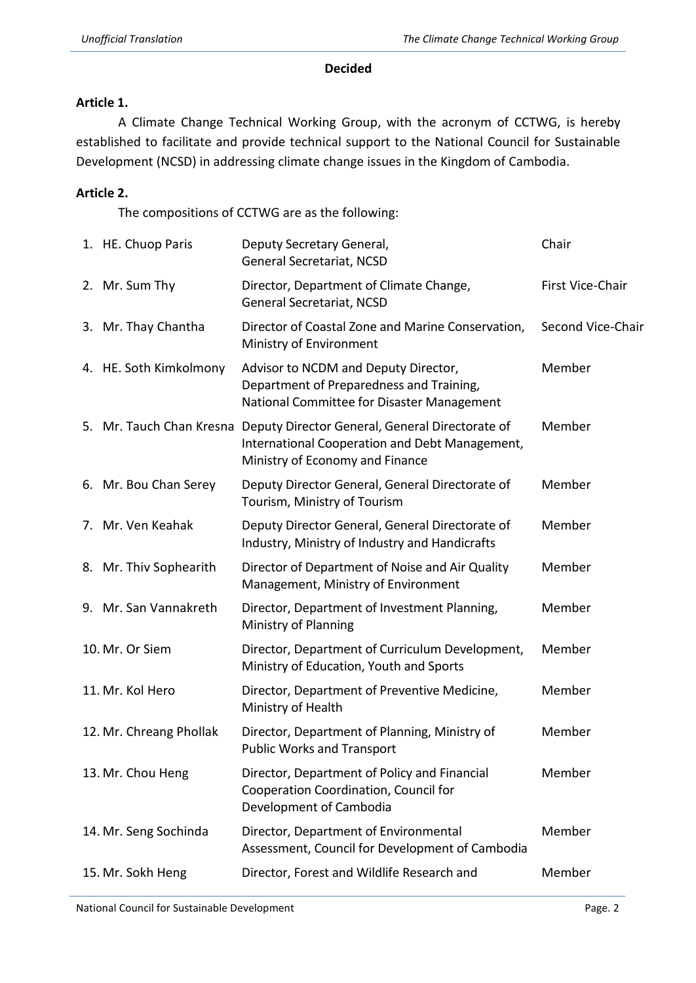#### **Decided**

#### **Article 1.**

A Climate Change Technical Working Group, with the acronym of CCTWG, is hereby established to facilitate and provide technical support to the National Council for Sustainable Development (NCSD) in addressing climate change issues in the Kingdom of Cambodia.

#### **Article 2.**

The compositions of CCTWG are as the following:

| 1. HE. Chuop Paris      | Deputy Secretary General,<br>General Secretariat, NCSD                                                                                                        | Chair             |
|-------------------------|---------------------------------------------------------------------------------------------------------------------------------------------------------------|-------------------|
| 2. Mr. Sum Thy          | Director, Department of Climate Change,<br>General Secretariat, NCSD                                                                                          | First Vice-Chair  |
| 3. Mr. Thay Chantha     | Director of Coastal Zone and Marine Conservation,<br>Ministry of Environment                                                                                  | Second Vice-Chair |
| 4. HE. Soth Kimkolmony  | Advisor to NCDM and Deputy Director,<br>Department of Preparedness and Training,<br>National Committee for Disaster Management                                | Member            |
|                         | 5. Mr. Tauch Chan Kresna Deputy Director General, General Directorate of<br>International Cooperation and Debt Management,<br>Ministry of Economy and Finance | Member            |
| 6. Mr. Bou Chan Serey   | Deputy Director General, General Directorate of<br>Tourism, Ministry of Tourism                                                                               | Member            |
| 7. Mr. Ven Keahak       | Deputy Director General, General Directorate of<br>Industry, Ministry of Industry and Handicrafts                                                             | Member            |
| 8. Mr. Thiv Sophearith  | Director of Department of Noise and Air Quality<br>Management, Ministry of Environment                                                                        | Member            |
| 9. Mr. San Vannakreth   | Director, Department of Investment Planning,<br>Ministry of Planning                                                                                          | Member            |
| 10. Mr. Or Siem         | Director, Department of Curriculum Development,<br>Ministry of Education, Youth and Sports                                                                    | Member            |
| 11. Mr. Kol Hero        | Director, Department of Preventive Medicine,<br>Ministry of Health                                                                                            | Member            |
| 12. Mr. Chreang Phollak | Director, Department of Planning, Ministry of<br><b>Public Works and Transport</b>                                                                            | Member            |
| 13. Mr. Chou Heng       | Director, Department of Policy and Financial<br>Cooperation Coordination, Council for<br>Development of Cambodia                                              | Member            |
| 14. Mr. Seng Sochinda   | Director, Department of Environmental<br>Assessment, Council for Development of Cambodia                                                                      | Member            |
| 15. Mr. Sokh Heng       | Director, Forest and Wildlife Research and                                                                                                                    | Member            |
|                         |                                                                                                                                                               |                   |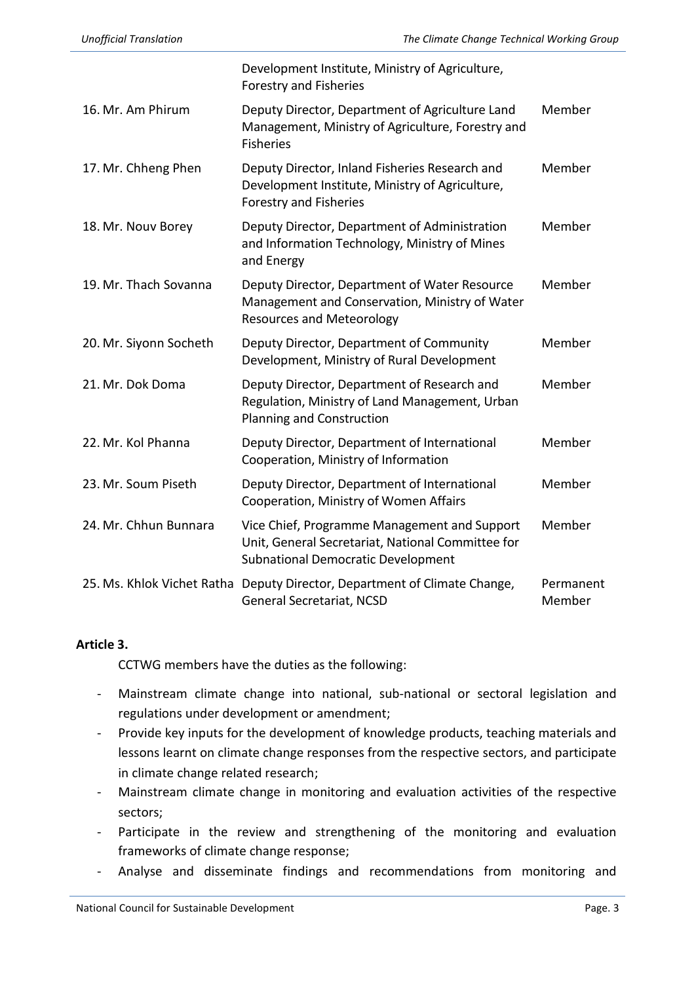|                            | Development Institute, Ministry of Agriculture,<br><b>Forestry and Fisheries</b>                                                               |                     |
|----------------------------|------------------------------------------------------------------------------------------------------------------------------------------------|---------------------|
| 16. Mr. Am Phirum          | Deputy Director, Department of Agriculture Land<br>Management, Ministry of Agriculture, Forestry and<br><b>Fisheries</b>                       | Member              |
| 17. Mr. Chheng Phen        | Deputy Director, Inland Fisheries Research and<br>Development Institute, Ministry of Agriculture,<br><b>Forestry and Fisheries</b>             | Member              |
| 18. Mr. Nouv Borey         | Deputy Director, Department of Administration<br>and Information Technology, Ministry of Mines<br>and Energy                                   | Member              |
| 19. Mr. Thach Sovanna      | Deputy Director, Department of Water Resource<br>Management and Conservation, Ministry of Water<br><b>Resources and Meteorology</b>            | Member              |
| 20. Mr. Siyonn Socheth     | Deputy Director, Department of Community<br>Development, Ministry of Rural Development                                                         | Member              |
| 21. Mr. Dok Doma           | Deputy Director, Department of Research and<br>Regulation, Ministry of Land Management, Urban<br>Planning and Construction                     | Member              |
| 22. Mr. Kol Phanna         | Deputy Director, Department of International<br>Cooperation, Ministry of Information                                                           | Member              |
| 23. Mr. Soum Piseth        | Deputy Director, Department of International<br>Cooperation, Ministry of Women Affairs                                                         | Member              |
| 24. Mr. Chhun Bunnara      | Vice Chief, Programme Management and Support<br>Unit, General Secretariat, National Committee for<br><b>Subnational Democratic Development</b> | Member              |
| 25. Ms. Khlok Vichet Ratha | Deputy Director, Department of Climate Change,<br>General Secretariat, NCSD                                                                    | Permanent<br>Member |

#### **Article 3.**

CCTWG members have the duties as the following:

- Mainstream climate change into national, sub-national or sectoral legislation and regulations under development or amendment;
- Provide key inputs for the development of knowledge products, teaching materials and lessons learnt on climate change responses from the respective sectors, and participate in climate change related research;
- Mainstream climate change in monitoring and evaluation activities of the respective sectors;
- Participate in the review and strengthening of the monitoring and evaluation frameworks of climate change response;
- Analyse and disseminate findings and recommendations from monitoring and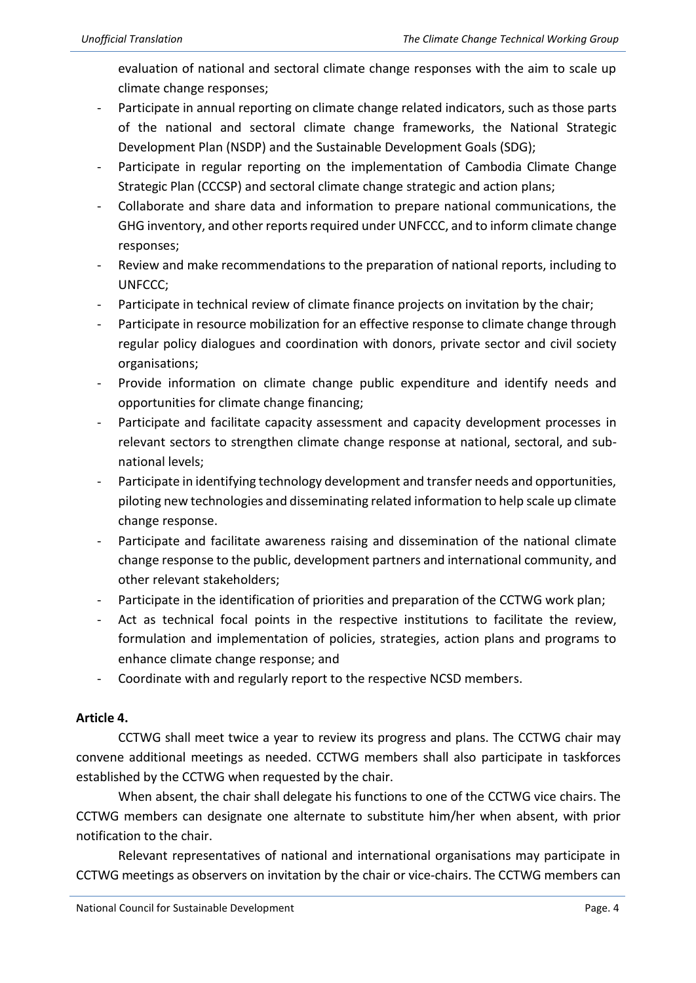evaluation of national and sectoral climate change responses with the aim to scale up climate change responses;

- Participate in annual reporting on climate change related indicators, such as those parts of the national and sectoral climate change frameworks, the National Strategic Development Plan (NSDP) and the Sustainable Development Goals (SDG);
- Participate in regular reporting on the implementation of Cambodia Climate Change Strategic Plan (CCCSP) and sectoral climate change strategic and action plans;
- Collaborate and share data and information to prepare national communications, the GHG inventory, and other reports required under UNFCCC, and to inform climate change responses;
- Review and make recommendations to the preparation of national reports, including to UNFCCC;
- Participate in technical review of climate finance projects on invitation by the chair;
- Participate in resource mobilization for an effective response to climate change through regular policy dialogues and coordination with donors, private sector and civil society organisations;
- Provide information on climate change public expenditure and identify needs and opportunities for climate change financing;
- Participate and facilitate capacity assessment and capacity development processes in relevant sectors to strengthen climate change response at national, sectoral, and subnational levels;
- Participate in identifying technology development and transfer needs and opportunities, piloting new technologies and disseminating related information to help scale up climate change response.
- Participate and facilitate awareness raising and dissemination of the national climate change response to the public, development partners and international community, and other relevant stakeholders;
- Participate in the identification of priorities and preparation of the CCTWG work plan;
- Act as technical focal points in the respective institutions to facilitate the review, formulation and implementation of policies, strategies, action plans and programs to enhance climate change response; and
- Coordinate with and regularly report to the respective NCSD members.

#### **Article 4.**

CCTWG shall meet twice a year to review its progress and plans. The CCTWG chair may convene additional meetings as needed. CCTWG members shall also participate in taskforces established by the CCTWG when requested by the chair.

When absent, the chair shall delegate his functions to one of the CCTWG vice chairs. The CCTWG members can designate one alternate to substitute him/her when absent, with prior notification to the chair.

Relevant representatives of national and international organisations may participate in CCTWG meetings as observers on invitation by the chair or vice-chairs. The CCTWG members can